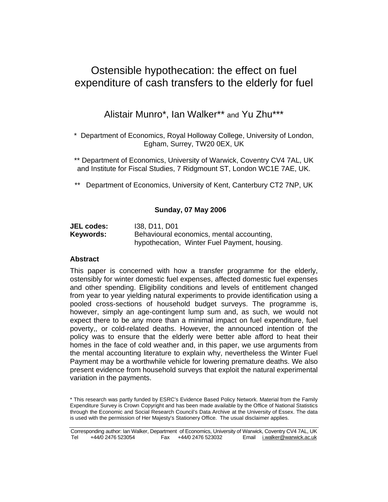# Ostensible hypothecation: the effect on fuel expenditure of cash transfers to the elderly for fuel

Alistair Munro\*, Ian Walker\*\* and Yu Zhu\*\*\*

\* Department of Economics, Royal Holloway College, University of London, Egham, Surrey, TW20 0EX, UK

\*\* Department of Economics, University of Warwick, Coventry CV4 7AL, UK and Institute for Fiscal Studies, 7 Ridgmount ST, London WC1E 7AE, UK.

Department of Economics, University of Kent, Canterbury CT2 7NP, UK

## **Sunday, 07 May 2006**

| <b>JEL codes:</b> | 138, D11, D01                                |
|-------------------|----------------------------------------------|
| Keywords:         | Behavioural economics, mental accounting,    |
|                   | hypothecation, Winter Fuel Payment, housing. |

## **Abstract**

This paper is concerned with how a transfer programme for the elderly, ostensibly for winter domestic fuel expenses, affected domestic fuel expenses and other spending. Eligibility conditions and levels of entitlement changed from year to year yielding natural experiments to provide identification using a pooled cross-sections of household budget surveys. The programme is, however, simply an age-contingent lump sum and, as such, we would not expect there to be any more than a minimal impact on fuel expenditure, fuel poverty,, or cold-related deaths. However, the announced intention of the policy was to ensure that the elderly were better able afford to heat their homes in the face of cold weather and, in this paper, we use arguments from the mental accounting literature to explain why, nevertheless the Winter Fuel Payment may be a worthwhile vehicle for lowering premature deaths. We also present evidence from household surveys that exploit the natural experimental variation in the payments.

<sup>\*</sup> This research was partly funded by ESRC's Evidence Based Policy Network. Material from the Family Expenditure Survey is Crown Copyright and has been made available by the Office of National Statistics through the Economic and Social Research Council's Data Archive at the University of Essex. The data is used with the permission of Her Majesty's Stationery Office. The usual disclaimer applies.

Corresponding author: Ian Walker, Department of Economics, University of Warwick, Coventry CV4 7AL, UK<br>Tel +44/0 2476 523054 Fax +44/0 2476 523032 Email i.walker@warwick.ac.uk Tel +44/0 2476 523054 Fax +44/0 2476 523032 Email i.walker@warwick.ac.uk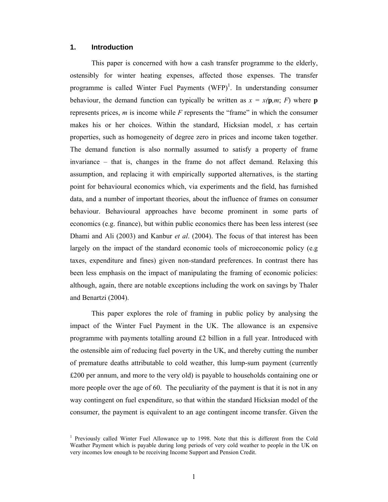#### **1. Introduction**

This paper is concerned with how a cash transfer programme to the elderly, ostensibly for winter heating expenses, affected those expenses. The transfer programme is called Winter Fuel Payments  $(WFP)^{1}$ . In understanding consumer behaviour, the demand function can typically be written as  $x = x(\mathbf{p}, m; F)$  where **p** represents prices, *m* is income while *F* represents the "frame" in which the consumer makes his or her choices. Within the standard, Hicksian model, *x* has certain properties, such as homogeneity of degree zero in prices and income taken together. The demand function is also normally assumed to satisfy a property of frame invariance – that is, changes in the frame do not affect demand. Relaxing this assumption, and replacing it with empirically supported alternatives, is the starting point for behavioural economics which, via experiments and the field, has furnished data, and a number of important theories, about the influence of frames on consumer behaviour. Behavioural approaches have become prominent in some parts of economics (e.g. finance), but within public economics there has been less interest (see Dhami and Ali (2003) and Kanbur *et al*. (2004). The focus of that interest has been largely on the impact of the standard economic tools of microeconomic policy (e.g taxes, expenditure and fines) given non-standard preferences. In contrast there has been less emphasis on the impact of manipulating the framing of economic policies: although, again, there are notable exceptions including the work on savings by Thaler and Benartzi (2004).

This paper explores the role of framing in public policy by analysing the impact of the Winter Fuel Payment in the UK. The allowance is an expensive programme with payments totalling around £2 billion in a full year. Introduced with the ostensible aim of reducing fuel poverty in the UK, and thereby cutting the number of premature deaths attributable to cold weather, this lump-sum payment (currently £200 per annum, and more to the very old) is payable to households containing one or more people over the age of 60. The peculiarity of the payment is that it is not in any way contingent on fuel expenditure, so that within the standard Hicksian model of the consumer, the payment is equivalent to an age contingent income transfer. Given the

<sup>&</sup>lt;sup>1</sup> Previously called Winter Fuel Allowance up to 1998. Note that this is different from the Cold Weather Payment which is payable during long periods of very cold weather to people in the UK on very incomes low enough to be receiving Income Support and Pension Credit.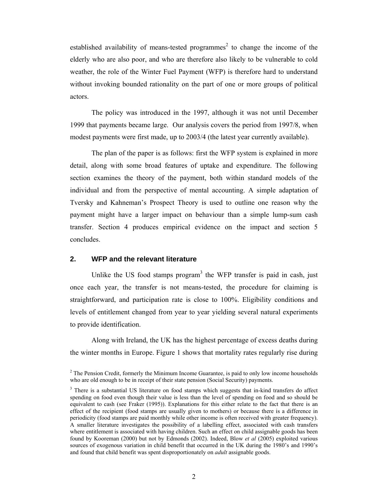established availability of means-tested programmes<sup>2</sup> to change the income of the elderly who are also poor, and who are therefore also likely to be vulnerable to cold weather, the role of the Winter Fuel Payment (WFP) is therefore hard to understand without invoking bounded rationality on the part of one or more groups of political actors.

The policy was introduced in the 1997, although it was not until December 1999 that payments became large. Our analysis covers the period from 1997/8, when modest payments were first made, up to 2003/4 (the latest year currently available).

The plan of the paper is as follows: first the WFP system is explained in more detail, along with some broad features of uptake and expenditure. The following section examines the theory of the payment, both within standard models of the individual and from the perspective of mental accounting. A simple adaptation of Tversky and Kahneman's Prospect Theory is used to outline one reason why the payment might have a larger impact on behaviour than a simple lump-sum cash transfer. Section 4 produces empirical evidence on the impact and section 5 concludes.

## **2. WFP and the relevant literature**

Unlike the US food stamps program<sup>3</sup> the WFP transfer is paid in cash, just once each year, the transfer is not means-tested, the procedure for claiming is straightforward, and participation rate is close to 100%. Eligibility conditions and levels of entitlement changed from year to year yielding several natural experiments to provide identification.

Along with Ireland, the UK has the highest percentage of excess deaths during the winter months in Europe. Figure 1 shows that mortality rates regularly rise during

 $2^2$  The Pension Credit, formerly the Minimum Income Guarantee, is paid to only low income households who are old enough to be in receipt of their state pension (Social Security) payments.

<sup>&</sup>lt;sup>3</sup> There is a substantial US literature on food stamps which suggests that in-kind transfers do affect spending on food even though their value is less than the level of spending on food and so should be equivalent to cash (see Fraker (1995)). Explanations for this either relate to the fact that there is an effect of the recipient (food stamps are usually given to mothers) or because there is a difference in periodicity (food stamps are paid monthly while other income is often received with greater frequency). A smaller literature investigates the possibility of a labelling effect, associated with cash transfers where entitlement is associated with having children. Such an effect on child assignable goods has been found by Kooreman (2000) but not by Edmonds (2002). Indeed, Blow *et al* (2005) exploited various sources of exogenous variation in child benefit that occurred in the UK during the 1980's and 1990's and found that child benefit was spent disproportionately on *adult* assignable goods.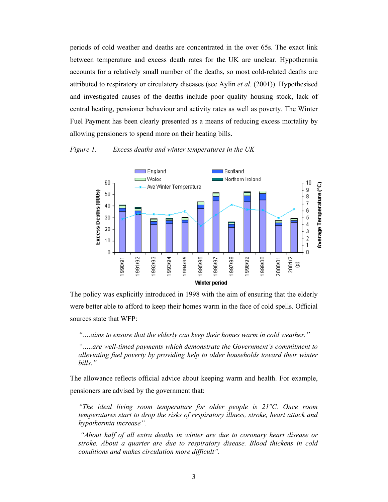periods of cold weather and deaths are concentrated in the over 65s. The exact link between temperature and excess death rates for the UK are unclear. Hypothermia accounts for a relatively small number of the deaths, so most cold-related deaths are attributed to respiratory or circulatory diseases (see Aylin *et al*. (2001)). Hypothesised and investigated causes of the deaths include poor quality housing stock, lack of central heating, pensioner behaviour and activity rates as well as poverty. The Winter Fuel Payment has been clearly presented as a means of reducing excess mortality by allowing pensioners to spend more on their heating bills.

## *Figure 1. Excess deaths and winter temperatures in the UK*



The policy was explicitly introduced in 1998 with the aim of ensuring that the elderly were better able to afford to keep their homes warm in the face of cold spells. Official sources state that WFP:

*"….aims to ensure that the elderly can keep their homes warm in cold weather."* 

*"…..are well-timed payments which demonstrate the Government's commitment to alleviating fuel poverty by providing help to older households toward their winter bills."*

The allowance reflects official advice about keeping warm and health. For example, pensioners are advised by the government that:

*"The ideal living room temperature for older people is 21°C. Once room temperatures start to drop the risks of respiratory illness, stroke, heart attack and hypothermia increase".* 

 *"About half of all extra deaths in winter are due to coronary heart disease or stroke. About a quarter are due to respiratory disease. Blood thickens in cold conditions and makes circulation more difficult".*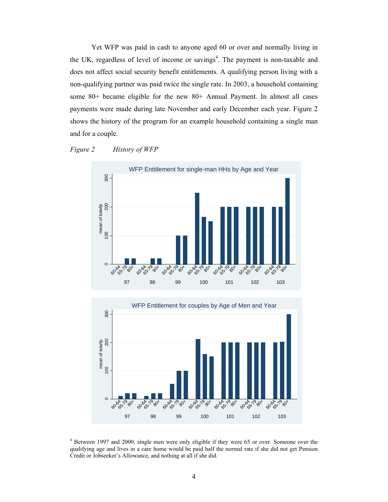Yet WFP was paid in cash to anyone aged 60 or over and normally living in the UK, regardless of level of income or savings<sup>4</sup>. The payment is non-taxable and does not affect social security benefit entitlements. A qualifying person living with a non-qualifying partner was paid twice the single rate. In 2003, a household containing some 80+ became eligible for the new 80+ Annual Payment. In almost all cases payments were made during late November and early December each year. Figure 2 shows the history of the program for an example household containing a single man and for a couple.

## *Figure 2 History of WFP*





<sup>4</sup> Between 1997 and 2000, single men were only eligible if they were 65 or over. Someone over the qualifying age and lives in a care home would be paid half the normal rate if she did not get Pension Credit or Jobseeker's Allowance, and nothing at all if she did.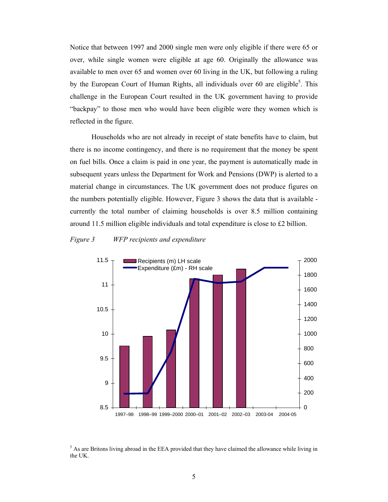Notice that between 1997 and 2000 single men were only eligible if there were 65 or over, while single women were eligible at age 60. Originally the allowance was available to men over 65 and women over 60 living in the UK, but following a ruling by the European Court of Human Rights, all individuals over 60 are eligible<sup>5</sup>. This challenge in the European Court resulted in the UK government having to provide "backpay" to those men who would have been eligible were they women which is reflected in the figure.

Households who are not already in receipt of state benefits have to claim, but there is no income contingency, and there is no requirement that the money be spent on fuel bills. Once a claim is paid in one year, the payment is automatically made in subsequent years unless the Department for Work and Pensions (DWP) is alerted to a material change in circumstances. The UK government does not produce figures on the numbers potentially eligible. However, Figure 3 shows the data that is available currently the total number of claiming households is over 8.5 million containing around 11.5 million eligible individuals and total expenditure is close to £2 billion.

#### *Figure 3 WFP recipients and expenditure*



<sup>5</sup> As are Britons living abroad in the EEA provided that they have claimed the allowance while living in the UK.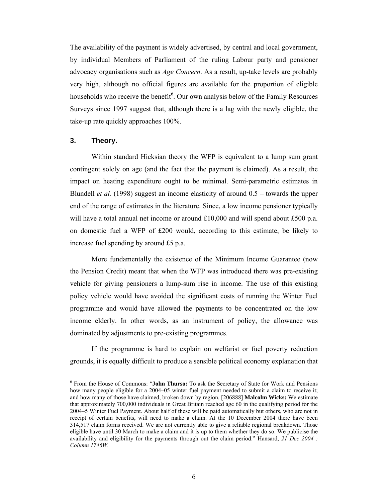The availability of the payment is widely advertised, by central and local government, by individual Members of Parliament of the ruling Labour party and pensioner advocacy organisations such as *Age Concern*. As a result, up-take levels are probably very high, although no official figures are available for the proportion of eligible households who receive the benefit<sup>6</sup>. Our own analysis below of the Family Resources Surveys since 1997 suggest that, although there is a lag with the newly eligible, the take-up rate quickly approaches 100%.

## **3. Theory.**

Within standard Hicksian theory the WFP is equivalent to a lump sum grant contingent solely on age (and the fact that the payment is claimed). As a result, the impact on heating expenditure ought to be minimal. Semi-parametric estimates in Blundell *et al.* (1998) suggest an income elasticity of around 0.5 – towards the upper end of the range of estimates in the literature. Since, a low income pensioner typically will have a total annual net income or around  $£10,000$  and will spend about  $£500$  p.a. on domestic fuel a WFP of £200 would, according to this estimate, be likely to increase fuel spending by around £5 p.a.

More fundamentally the existence of the Minimum Income Guarantee (now the Pension Credit) meant that when the WFP was introduced there was pre-existing vehicle for giving pensioners a lump-sum rise in income. The use of this existing policy vehicle would have avoided the significant costs of running the Winter Fuel programme and would have allowed the payments to be concentrated on the low income elderly. In other words, as an instrument of policy, the allowance was dominated by adjustments to pre-existing programmes.

If the programme is hard to explain on welfarist or fuel poverty reduction grounds, it is equally difficult to produce a sensible political economy explanation that

<sup>6</sup> From the House of Commons: "**John Thurso:** To ask the Secretary of State for Work and Pensions how many people eligible for a 2004–05 winter fuel payment needed to submit a claim to receive it; and how many of those have claimed, broken down by region. [206888] **Malcolm Wicks:** We estimate that approximately 700,000 individuals in Great Britain reached age 60 in the qualifying period for the 2004–5 Winter Fuel Payment. About half of these will be paid automatically but others, who are not in receipt of certain benefits, will need to make a claim. At the 10 December 2004 there have been 314,517 claim forms received. We are not currently able to give a reliable regional breakdown. Those eligible have until 30 March to make a claim and it is up to them whether they do so. We publicise the availability and eligibility for the payments through out the claim period." Hansard, *21 Dec 2004 : Column 1746W.*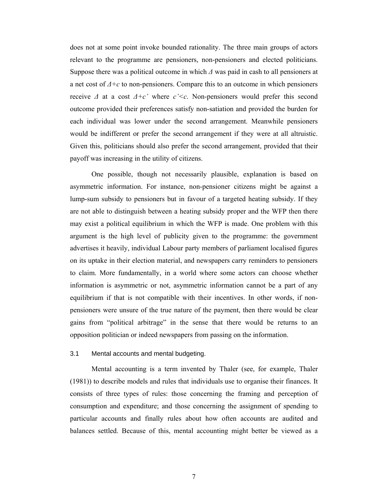does not at some point invoke bounded rationality. The three main groups of actors relevant to the programme are pensioners, non-pensioners and elected politicians. Suppose there was a political outcome in which *∆* was paid in cash to all pensioners at a net cost of *∆+c* to non-pensioners. Compare this to an outcome in which pensioners receive *∆* at a cost *∆+c'* where *c'<c*. Non-pensioners would prefer this second outcome provided their preferences satisfy non-satiation and provided the burden for each individual was lower under the second arrangement. Meanwhile pensioners would be indifferent or prefer the second arrangement if they were at all altruistic. Given this, politicians should also prefer the second arrangement, provided that their payoff was increasing in the utility of citizens.

One possible, though not necessarily plausible, explanation is based on asymmetric information. For instance, non-pensioner citizens might be against a lump-sum subsidy to pensioners but in favour of a targeted heating subsidy. If they are not able to distinguish between a heating subsidy proper and the WFP then there may exist a political equilibrium in which the WFP is made. One problem with this argument is the high level of publicity given to the programme: the government advertises it heavily, individual Labour party members of parliament localised figures on its uptake in their election material, and newspapers carry reminders to pensioners to claim. More fundamentally, in a world where some actors can choose whether information is asymmetric or not, asymmetric information cannot be a part of any equilibrium if that is not compatible with their incentives. In other words, if nonpensioners were unsure of the true nature of the payment, then there would be clear gains from "political arbitrage" in the sense that there would be returns to an opposition politician or indeed newspapers from passing on the information.

### 3.1 Mental accounts and mental budgeting.

Mental accounting is a term invented by Thaler (see, for example, Thaler (1981)) to describe models and rules that individuals use to organise their finances. It consists of three types of rules: those concerning the framing and perception of consumption and expenditure; and those concerning the assignment of spending to particular accounts and finally rules about how often accounts are audited and balances settled. Because of this, mental accounting might better be viewed as a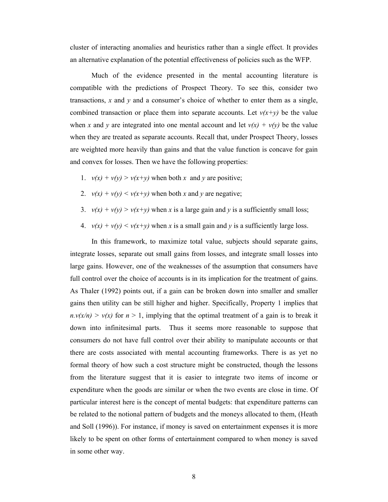cluster of interacting anomalies and heuristics rather than a single effect. It provides an alternative explanation of the potential effectiveness of policies such as the WFP.

Much of the evidence presented in the mental accounting literature is compatible with the predictions of Prospect Theory. To see this, consider two transactions, *x* and *y* and a consumer's choice of whether to enter them as a single, combined transaction or place them into separate accounts. Let  $v(x+y)$  be the value when x and y are integrated into one mental account and let  $v(x) + v(y)$  be the value when they are treated as separate accounts. Recall that, under Prospect Theory, losses are weighted more heavily than gains and that the value function is concave for gain and convex for losses. Then we have the following properties:

- 1.  $v(x) + v(y) > v(x+y)$  when both *x* and *y* are positive;
- 2.  $v(x) + v(y) \le v(x+y)$  when both x and y are negative;
- 3.  $v(x) + v(y) > v(x+y)$  when *x* is a large gain and *y* is a sufficiently small loss;
- 4.  $v(x) + v(y) \le v(x+y)$  when x is a small gain and y is a sufficiently large loss.

In this framework, to maximize total value, subjects should separate gains, integrate losses, separate out small gains from losses, and integrate small losses into large gains. However, one of the weaknesses of the assumption that consumers have full control over the choice of accounts is in its implication for the treatment of gains. As Thaler (1992) points out, if a gain can be broken down into smaller and smaller gains then utility can be still higher and higher. Specifically, Property 1 implies that  $n.v(x/n) > v(x)$  for  $n > 1$ , implying that the optimal treatment of a gain is to break it down into infinitesimal parts. Thus it seems more reasonable to suppose that consumers do not have full control over their ability to manipulate accounts or that there are costs associated with mental accounting frameworks. There is as yet no formal theory of how such a cost structure might be constructed, though the lessons from the literature suggest that it is easier to integrate two items of income or expenditure when the goods are similar or when the two events are close in time. Of particular interest here is the concept of mental budgets: that expenditure patterns can be related to the notional pattern of budgets and the moneys allocated to them, (Heath and Soll (1996)). For instance, if money is saved on entertainment expenses it is more likely to be spent on other forms of entertainment compared to when money is saved in some other way.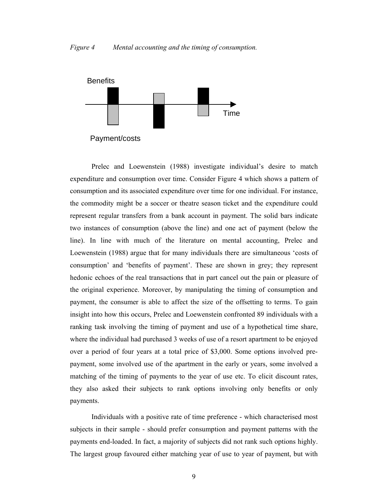#### *Figure 4 Mental accounting and the timing of consumption.*



Payment/costs

Prelec and Loewenstein (1988) investigate individual's desire to match expenditure and consumption over time. Consider Figure 4 which shows a pattern of consumption and its associated expenditure over time for one individual. For instance, the commodity might be a soccer or theatre season ticket and the expenditure could represent regular transfers from a bank account in payment. The solid bars indicate two instances of consumption (above the line) and one act of payment (below the line). In line with much of the literature on mental accounting, Prelec and Loewenstein (1988) argue that for many individuals there are simultaneous 'costs of consumption' and 'benefits of payment'. These are shown in grey; they represent hedonic echoes of the real transactions that in part cancel out the pain or pleasure of the original experience. Moreover, by manipulating the timing of consumption and payment, the consumer is able to affect the size of the offsetting to terms. To gain insight into how this occurs, Prelec and Loewenstein confronted 89 individuals with a ranking task involving the timing of payment and use of a hypothetical time share, where the individual had purchased 3 weeks of use of a resort apartment to be enjoyed over a period of four years at a total price of \$3,000. Some options involved prepayment, some involved use of the apartment in the early or years, some involved a matching of the timing of payments to the year of use etc. To elicit discount rates, they also asked their subjects to rank options involving only benefits or only payments.

Individuals with a positive rate of time preference - which characterised most subjects in their sample - should prefer consumption and payment patterns with the payments end-loaded. In fact, a majority of subjects did not rank such options highly. The largest group favoured either matching year of use to year of payment, but with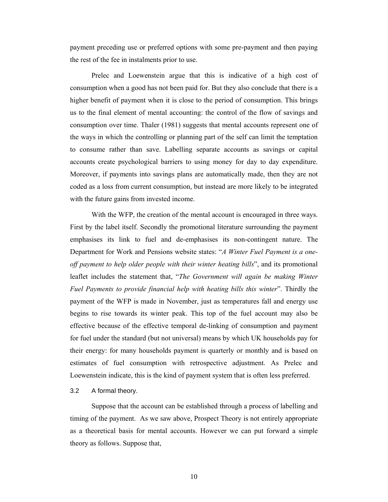payment preceding use or preferred options with some pre-payment and then paying the rest of the fee in instalments prior to use.

Prelec and Loewenstein argue that this is indicative of a high cost of consumption when a good has not been paid for. But they also conclude that there is a higher benefit of payment when it is close to the period of consumption. This brings us to the final element of mental accounting: the control of the flow of savings and consumption over time. Thaler (1981) suggests that mental accounts represent one of the ways in which the controlling or planning part of the self can limit the temptation to consume rather than save. Labelling separate accounts as savings or capital accounts create psychological barriers to using money for day to day expenditure. Moreover, if payments into savings plans are automatically made, then they are not coded as a loss from current consumption, but instead are more likely to be integrated with the future gains from invested income.

With the WFP, the creation of the mental account is encouraged in three ways. First by the label itself. Secondly the promotional literature surrounding the payment emphasises its link to fuel and de-emphasises its non-contingent nature. The Department for Work and Pensions website states: "*A Winter Fuel Payment is a oneoff payment to help older people with their winter heating bills*", and its promotional leaflet includes the statement that, "*The Government will again be making Winter Fuel Payments to provide financial help with heating bills this winter*". Thirdly the payment of the WFP is made in November, just as temperatures fall and energy use begins to rise towards its winter peak. This top of the fuel account may also be effective because of the effective temporal de-linking of consumption and payment for fuel under the standard (but not universal) means by which UK households pay for their energy: for many households payment is quarterly or monthly and is based on estimates of fuel consumption with retrospective adjustment. As Prelec and Loewenstein indicate, this is the kind of payment system that is often less preferred.

#### 3.2 A formal theory.

Suppose that the account can be established through a process of labelling and timing of the payment. As we saw above, Prospect Theory is not entirely appropriate as a theoretical basis for mental accounts. However we can put forward a simple theory as follows. Suppose that,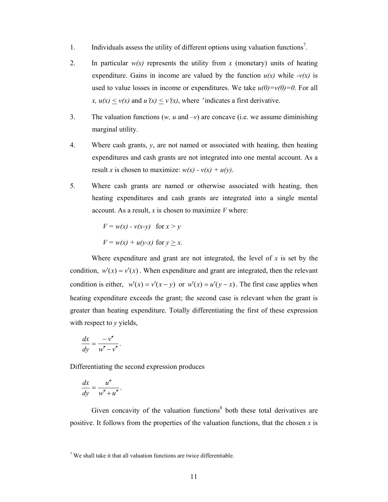- 1. Individuals assess the utility of different options using valuation functions<sup>7</sup>.
- 2. In particular  $w(x)$  represents the utility from x (monetary) units of heating expenditure. Gains in income are valued by the function  $u(x)$  while  $-v(x)$  is used to value losses in income or expenditures. We take  $u(0)=v(0)=0$ . For all *x,*  $u(x) \le v(x)$  and  $u'(x) \le v'(x)$ , where 'indicates a first derivative.
- 3. The valuation functions  $(w, u \text{ and } -v)$  are concave (i.e. we assume diminishing marginal utility.
- 4. Where cash grants,  $v$ , are not named or associated with heating, then heating expenditures and cash grants are not integrated into one mental account. As a result *x* is chosen to maximize:  $w(x) - v(x) + u(y)$ .
- 5. Where cash grants are named or otherwise associated with heating, then heating expenditures and cash grants are integrated into a single mental account. As a result, *x* is chosen to maximize *V* where:

$$
V = w(x) - v(x-y) \quad \text{for } x > y
$$

$$
V = w(x) + u(y-x) \quad \text{for } y \ge x.
$$

Where expenditure and grant are not integrated, the level of  $x$  is set by the condition,  $w'(x) = v'(x)$ . When expenditure and grant are integrated, then the relevant condition is either,  $w'(x) = v'(x - y)$  or  $w'(x) = u'(y - x)$ . The first case applies when heating expenditure exceeds the grant; the second case is relevant when the grant is greater than heating expenditure. Totally differentiating the first of these expression with respect to *y* yields,

$$
\frac{dx}{dy} = \frac{-v''}{w'' - v''}.
$$

Differentiating the second expression produces

$$
\frac{dx}{dy} = \frac{u''}{w'' + u''}.
$$

Given concavity of the valuation functions $\delta$  both these total derivatives are positive. It follows from the properties of the valuation functions, that the chosen *x* is

 $7$  We shall take it that all valuation functions are twice differentiable.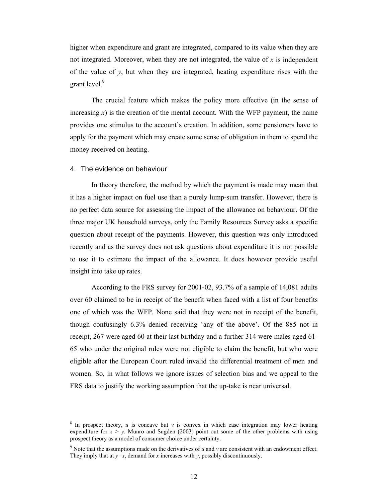higher when expenditure and grant are integrated, compared to its value when they are not integrated. Moreover, when they are not integrated, the value of *x* is independent of the value of *y*, but when they are integrated, heating expenditure rises with the grant level.<sup>9</sup>

The crucial feature which makes the policy more effective (in the sense of increasing  $x$ ) is the creation of the mental account. With the WFP payment, the name provides one stimulus to the account's creation. In addition, some pensioners have to apply for the payment which may create some sense of obligation in them to spend the money received on heating.

#### 4. The evidence on behaviour

In theory therefore, the method by which the payment is made may mean that it has a higher impact on fuel use than a purely lump-sum transfer. However, there is no perfect data source for assessing the impact of the allowance on behaviour. Of the three major UK household surveys, only the Family Resources Survey asks a specific question about receipt of the payments. However, this question was only introduced recently and as the survey does not ask questions about expenditure it is not possible to use it to estimate the impact of the allowance. It does however provide useful insight into take up rates.

According to the FRS survey for 2001-02, 93.7% of a sample of 14,081 adults over 60 claimed to be in receipt of the benefit when faced with a list of four benefits one of which was the WFP. None said that they were not in receipt of the benefit, though confusingly 6.3% denied receiving 'any of the above'. Of the 885 not in receipt, 267 were aged 60 at their last birthday and a further 314 were males aged 61- 65 who under the original rules were not eligible to claim the benefit, but who were eligible after the European Court ruled invalid the differential treatment of men and women. So, in what follows we ignore issues of selection bias and we appeal to the FRS data to justify the working assumption that the up-take is near universal.

 $8 \text{ In prospect theory, } u \text{ is concave but } v \text{ is convex in which case integration may lower heating.}$ expenditure for  $x > y$ . Munro and Sugden (2003) point out some of the other problems with using prospect theory as a model of consumer choice under certainty.

<sup>&</sup>lt;sup>9</sup> Note that the assumptions made on the derivatives of  $u$  and  $v$  are consistent with an endowment effect. They imply that at  $y=x$ , demand for *x* increases with *y*, possibly discontinuously.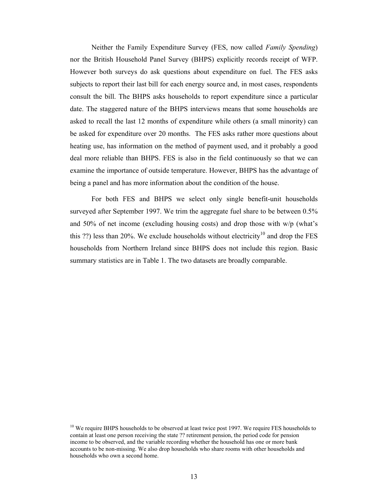Neither the Family Expenditure Survey (FES, now called *Family Spending*) nor the British Household Panel Survey (BHPS) explicitly records receipt of WFP. However both surveys do ask questions about expenditure on fuel. The FES asks subjects to report their last bill for each energy source and, in most cases, respondents consult the bill. The BHPS asks households to report expenditure since a particular date. The staggered nature of the BHPS interviews means that some households are asked to recall the last 12 months of expenditure while others (a small minority) can be asked for expenditure over 20 months. The FES asks rather more questions about heating use, has information on the method of payment used, and it probably a good deal more reliable than BHPS. FES is also in the field continuously so that we can examine the importance of outside temperature. However, BHPS has the advantage of being a panel and has more information about the condition of the house.

For both FES and BHPS we select only single benefit-unit households surveyed after September 1997. We trim the aggregate fuel share to be between 0.5% and 50% of net income (excluding housing costs) and drop those with  $w/p$  (what's this ??) less than 20%. We exclude households without electricity<sup>10</sup> and drop the FES households from Northern Ireland since BHPS does not include this region. Basic summary statistics are in Table 1. The two datasets are broadly comparable.

 $10$  We require BHPS households to be observed at least twice post 1997. We require FES households to contain at least one person receiving the state ?? retirement pension, the period code for pension income to be observed, and the variable recording whether the household has one or more bank accounts to be non-missing. We also drop households who share rooms with other households and households who own a second home.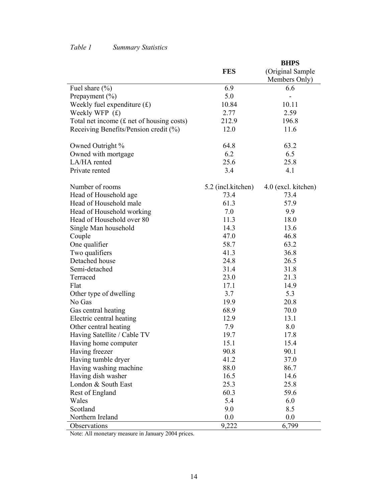## *Table 1 Summary Statistics*

|                                             |                    | <b>BHPS</b>         |
|---------------------------------------------|--------------------|---------------------|
|                                             | <b>FES</b>         | (Original Sample    |
|                                             |                    | Members Only)       |
| Fuel share (%)                              | 6.9                | 6.6                 |
| Prepayment $(\% )$                          | 5.0                |                     |
| Weekly fuel expenditure $(f)$               | 10.84              | 10.11               |
| Weekly WFP (£)                              | 2.77               | 2.59                |
| Total net income $(f$ net of housing costs) | 212.9              | 196.8               |
| Receiving Benefits/Pension credit (%)       | 12.0               | 11.6                |
| Owned Outright %                            | 64.8               | 63.2                |
| Owned with mortgage                         | 6.2                | 6.5                 |
| LA/HA rented                                | 25.6               | 25.8                |
| Private rented                              | 3.4                | 4.1                 |
| Number of rooms                             | 5.2 (incl.kitchen) | 4.0 (excl. kitchen) |
| Head of Household age                       | 73.4               | 73.4                |
| Head of Household male                      | 61.3               | 57.9                |
| Head of Household working                   | 7.0                | 9.9                 |
| Head of Household over 80                   | 11.3               | 18.0                |
| Single Man household                        | 14.3               | 13.6                |
| Couple                                      | 47.0               | 46.8                |
| One qualifier                               | 58.7               | 63.2                |
| Two qualifiers                              | 41.3               | 36.8                |
| Detached house                              | 24.8               | 26.5                |
| Semi-detached                               | 31.4               | 31.8                |
| Terraced                                    | 23.0               | 21.3                |
| Flat                                        | 17.1               | 14.9                |
| Other type of dwelling                      | 3.7                | 5.3                 |
| No Gas                                      | 19.9               | 20.8                |
| Gas central heating                         | 68.9               | 70.0                |
| Electric central heating                    | 12.9               | 13.1                |
| Other central heating                       | 7.9                | 8.0                 |
| Having Satellite / Cable TV                 | 19.7               | 17.8                |
| Having home computer                        | 15.1               | 15.4                |
| Having freezer                              | 90.8               | 90.1                |
| Having tumble dryer                         | 41.2               | 37.0                |
| Having washing machine                      | 88.0               | 86.7                |
| Having dish washer                          | 16.5               | 14.6                |
| London & South East                         | 25.3               | 25.8                |
| Rest of England                             | 60.3               | 59.6                |
| Wales                                       | 5.4                | 6.0                 |
| Scotland                                    | 9.0                | 8.5                 |
| Northern Ireland                            | 0.0                | 0.0                 |
| Observations                                | 9,222              | 6,799               |

Note: All monetary measure in January 2004 prices.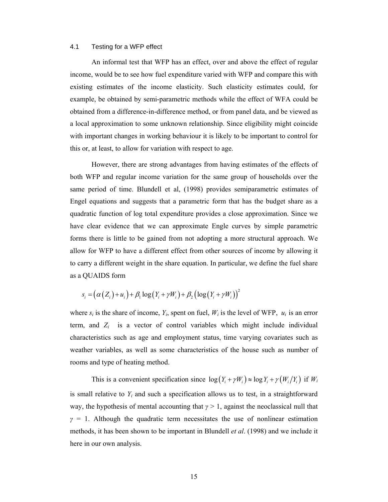#### 4.1 Testing for a WFP effect

An informal test that WFP has an effect, over and above the effect of regular income, would be to see how fuel expenditure varied with WFP and compare this with existing estimates of the income elasticity. Such elasticity estimates could, for example, be obtained by semi-parametric methods while the effect of WFA could be obtained from a difference-in-difference method, or from panel data, and be viewed as a local approximation to some unknown relationship. Since eligibility might coincide with important changes in working behaviour it is likely to be important to control for this or, at least, to allow for variation with respect to age.

However, there are strong advantages from having estimates of the effects of both WFP and regular income variation for the same group of households over the same period of time. Blundell et al, (1998) provides semiparametric estimates of Engel equations and suggests that a parametric form that has the budget share as a quadratic function of log total expenditure provides a close approximation. Since we have clear evidence that we can approximate Engle curves by simple parametric forms there is little to be gained from not adopting a more structural approach. We allow for WFP to have a different effect from other sources of income by allowing it to carry a different weight in the share equation. In particular, we define the fuel share as a QUAIDS form

$$
s_i = (\alpha(Z_i) + u_i) + \beta_1 \log(Y_i + \gamma W_i) + \beta_2 \left(\log(Y_i + \gamma W_i)\right)^2
$$

where  $s_i$  is the share of income,  $Y_i$ , spent on fuel,  $W_i$  is the level of WFP,  $u_i$  is an error term, and  $Z_i$  is a vector of control variables which might include individual characteristics such as age and employment status, time varying covariates such as weather variables, as well as some characteristics of the house such as number of rooms and type of heating method.

This is a convenient specification since  $\log(Y_i + \gamma W_i) \approx \log Y_i + \gamma (W_i/Y_i)$  if  $W_i$ is small relative to  $Y_i$  and such a specification allows us to test, in a straightforward way, the hypothesis of mental accounting that  $\gamma > 1$ , against the neoclassical null that  $\gamma = 1$ . Although the quadratic term necessitates the use of nonlinear estimation methods, it has been shown to be important in Blundell *et al*. (1998) and we include it here in our own analysis.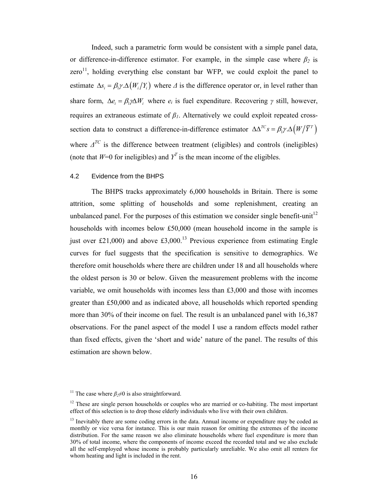Indeed, such a parametric form would be consistent with a simple panel data, or difference-in-difference estimator. For example, in the simple case where  $\beta_2$  is  $zero<sup>11</sup>$ , holding everything else constant bar WFP, we could exploit the panel to estimate  $\Delta s_i = \beta_i \gamma \cdot \Delta(W_i/Y_i)$  where  $\Delta$  is the difference operator or, in level rather than share form,  $\Delta e_i = \beta_i \gamma \Delta W_i$  where  $e_i$  is fuel expenditure. Recovering  $\gamma$  still, however, requires an extraneous estimate of *β1*. Alternatively we could exploit repeated crosssection data to construct a difference-in-difference estimator  $\Delta \Delta^{TC} s = \beta_1 \gamma \Delta \left( W / \overline{Y}^T \right)$ where  $\Delta^{TC}$  is the difference between treatment (eligibles) and controls (ineligibles) (note that  $W=0$  for ineligibles) and  $Y<sup>T</sup>$  is the mean income of the eligibles.

#### 4.2 Evidence from the BHPS

The BHPS tracks approximately 6,000 households in Britain. There is some attrition, some splitting of households and some replenishment, creating an unbalanced panel. For the purposes of this estimation we consider single benefit-unit<sup>12</sup> households with incomes below £50,000 (mean household income in the sample is just over £21,000) and above £3,000.<sup>13</sup> Previous experience from estimating Engle curves for fuel suggests that the specification is sensitive to demographics. We therefore omit households where there are children under 18 and all households where the oldest person is 30 or below. Given the measurement problems with the income variable, we omit households with incomes less than £3,000 and those with incomes greater than £50,000 and as indicated above, all households which reported spending more than 30% of their income on fuel. The result is an unbalanced panel with 16,387 observations. For the panel aspect of the model I use a random effects model rather than fixed effects, given the 'short and wide' nature of the panel. The results of this estimation are shown below.

<sup>&</sup>lt;sup>11</sup> The case where  $\beta_2 \neq 0$  is also straightforward.

<sup>&</sup>lt;sup>12</sup> These are single person households or couples who are married or co-habiting. The most important effect of this selection is to drop those elderly individuals who live with their own children.

 $<sup>13</sup>$  Inevitably there are some coding errors in the data. Annual income or expenditure may be coded as</sup> monthly or vice versa for instance. This is our main reason for omitting the extremes of the income distribution. For the same reason we also eliminate households where fuel expenditure is more than 30% of total income, where the components of income exceed the recorded total and we also exclude all the self-employed whose income is probably particularly unreliable. We also omit all renters for whom heating and light is included in the rent.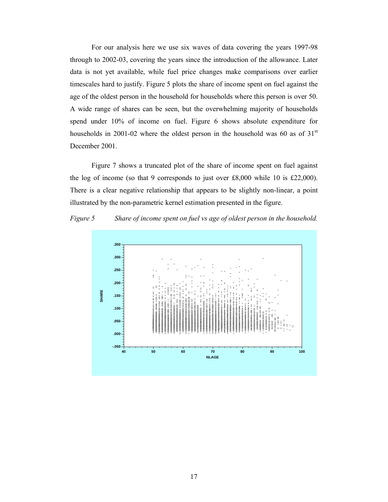For our analysis here we use six waves of data covering the years 1997-98 through to 2002-03, covering the years since the introduction of the allowance. Later data is not yet available, while fuel price changes make comparisons over earlier timescales hard to justify. Figure 5 plots the share of income spent on fuel against the age of the oldest person in the household for households where this person is over 50. A wide range of shares can be seen, but the overwhelming majority of households spend under 10% of income on fuel. Figure 6 shows absolute expenditure for households in 2001-02 where the oldest person in the household was 60 as of  $31<sup>st</sup>$ December 2001.

Figure 7 shows a truncated plot of the share of income spent on fuel against the log of income (so that 9 corresponds to just over £8,000 while 10 is £22,000). There is a clear negative relationship that appears to be slightly non-linear, a point illustrated by the non-parametric kernel estimation presented in the figure.



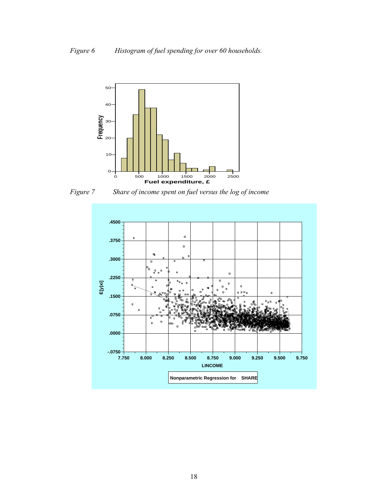

*Figure 7 Share of income spent on fuel versus the log of income* 

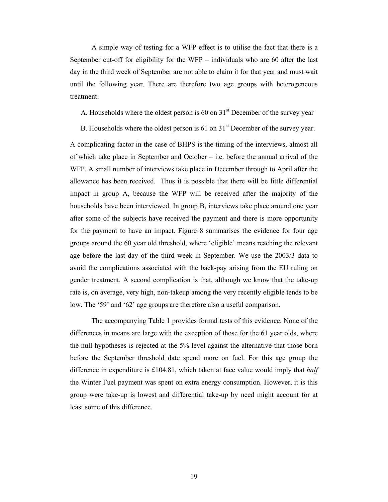A simple way of testing for a WFP effect is to utilise the fact that there is a September cut-off for eligibility for the WFP – individuals who are 60 after the last day in the third week of September are not able to claim it for that year and must wait until the following year. There are therefore two age groups with heterogeneous treatment:

A. Households where the oldest person is 60 on  $31<sup>st</sup>$  December of the survey year

B. Households where the oldest person is  $61$  on  $31<sup>st</sup>$  December of the survey year.

A complicating factor in the case of BHPS is the timing of the interviews, almost all of which take place in September and October – i.e. before the annual arrival of the WFP. A small number of interviews take place in December through to April after the allowance has been received. Thus it is possible that there will be little differential impact in group A, because the WFP will be received after the majority of the households have been interviewed. In group B, interviews take place around one year after some of the subjects have received the payment and there is more opportunity for the payment to have an impact. Figure 8 summarises the evidence for four age groups around the 60 year old threshold, where 'eligible' means reaching the relevant age before the last day of the third week in September. We use the 2003/3 data to avoid the complications associated with the back-pay arising from the EU ruling on gender treatment. A second complication is that, although we know that the take-up rate is, on average, very high, non-takeup among the very recently eligible tends to be low. The '59' and '62' age groups are therefore also a useful comparison.

The accompanying Table 1 provides formal tests of this evidence. None of the differences in means are large with the exception of those for the 61 year olds, where the null hypotheses is rejected at the 5% level against the alternative that those born before the September threshold date spend more on fuel. For this age group the difference in expenditure is £104.81, which taken at face value would imply that *half* the Winter Fuel payment was spent on extra energy consumption. However, it is this group were take-up is lowest and differential take-up by need might account for at least some of this difference.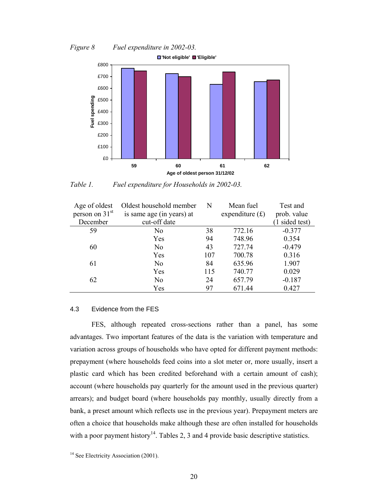*Figure 8 Fuel expenditure in 2002-03.* 



*Table 1. Fuel expenditure for Households in 2002-03.* 

| Age of oldest              | Oldest household member   | N   | Mean fuel         | Test and       |
|----------------------------|---------------------------|-----|-------------------|----------------|
| person on 31 <sup>st</sup> | is same age (in years) at |     | expenditure $(f)$ | prob. value    |
| December                   | cut-off date              |     |                   | (1 sided test) |
| 59                         | No                        | 38  | 772.16            | $-0.377$       |
|                            | Yes                       | 94  | 748.96            | 0.354          |
| 60                         | N <sub>0</sub>            | 43  | 727.74            | $-0.479$       |
|                            | Yes                       | 107 | 700.78            | 0.316          |
| 61                         | N <sub>0</sub>            | 84  | 635.96            | 1.907          |
|                            | Yes                       | 115 | 740.77            | 0.029          |
| 62                         | N <sub>0</sub>            | 24  | 657.79            | $-0.187$       |
|                            | Yes                       | 97  | 671.44            | 0.427          |

#### 4.3 Evidence from the FES

FES, although repeated cross-sections rather than a panel, has some advantages. Two important features of the data is the variation with temperature and variation across groups of households who have opted for different payment methods: prepayment (where households feed coins into a slot meter or, more usually, insert a plastic card which has been credited beforehand with a certain amount of cash); account (where households pay quarterly for the amount used in the previous quarter) arrears); and budget board (where households pay monthly, usually directly from a bank, a preset amount which reflects use in the previous year). Prepayment meters are often a choice that households make although these are often installed for households with a poor payment history<sup>14</sup>. Tables 2, 3 and 4 provide basic descriptive statistics.

<sup>&</sup>lt;sup>14</sup> See Electricity Association (2001).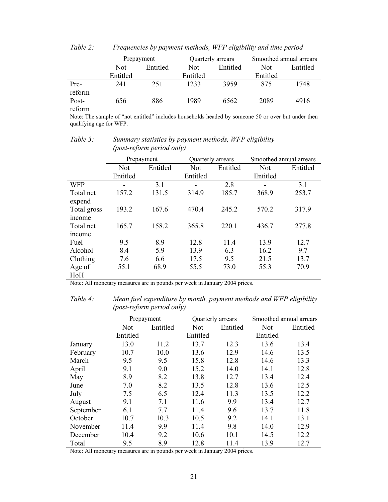|        | Prepayment |          |          | Quarterly arrears | Smoothed annual arrears |          |
|--------|------------|----------|----------|-------------------|-------------------------|----------|
|        | Not.       | Entitled | Not      | Entitled          | Not                     | Entitled |
|        | Entitled   |          | Entitled |                   | Entitled                |          |
| Pre-   | 241        | 251      | 1233     | 3959              | 875                     | 1748     |
| reform |            |          |          |                   |                         |          |
| Post-  | 656        | 886      | 1989     | 6562              | 2089                    | 4916     |
| reform |            |          |          |                   |                         |          |

*Table 2: Frequencies by payment methods, WFP eligibility and time period* 

Note: The sample of "not entitled" includes households headed by someone 50 or over but under then qualifying age for WFP.

|                           | Prepayment |          | Quarterly arrears |          | Smoothed annual arrears |          |
|---------------------------|------------|----------|-------------------|----------|-------------------------|----------|
|                           | Not        | Entitled | <b>Not</b>        | Entitled | <b>Not</b>              | Entitled |
|                           | Entitled   |          | Entitled          |          | Entitled                |          |
| <b>WFP</b>                |            | 3.1      |                   | 2.8      | -                       | 3.1      |
| Total net<br>expend       | 157.2      | 131.5    | 314.9             | 185.7    | 368.9                   | 253.7    |
| Total gross<br>income     | 193.2      | 167.6    | 470.4             | 245.2    | 570.2                   | 317.9    |
| Total net<br><i>ncome</i> | 165.7      | 158.2    | 365.8             | 220.1    | 436.7                   | 277.8    |
| Fuel                      | 9.5        | 8.9      | 12.8              | 11.4     | 13.9                    | 12.7     |
| Alcohol                   | 8.4        | 5.9      | 13.9              | 6.3      | 16.2                    | 9.7      |
| Clothing                  | 7.6        | 6.6      | 17.5              | 9.5      | 21.5                    | 13.7     |
| Age of<br>HoH             | 55.1       | 68.9     | 55.5              | 73.0     | 55.3                    | 70.9     |

*Table 3: Summary statistics by payment methods, WFP eligibility (post-reform period only)* 

Note: All monetary measures are in pounds per week in January 2004 prices.

*Table 4: Mean fuel expenditure by month, payment methods and WFP eligibility (post-reform period only)* 

|           | Prepayment |          | Quarterly arrears |      | Smoothed annual arrears |          |  |
|-----------|------------|----------|-------------------|------|-------------------------|----------|--|
|           | <b>Not</b> | Entitled | Not<br>Entitled   |      | <b>Not</b>              | Entitled |  |
|           | Entitled   |          | Entitled          |      | Entitled                |          |  |
| January   | 13.0       | 11.2     | 13.7              | 12.3 | 13.6                    | 13.4     |  |
| February  | 10.7       | 10.0     | 13.6              | 12.9 | 14.6                    | 13.5     |  |
| March     | 9.5        | 9.5      | 15.8              | 12.8 | 14.6                    | 13.3     |  |
| April     | 9.1        | 9.0      | 15.2              | 14.0 | 14.1                    | 12.8     |  |
| May       | 8.9        | 8.2      | 13.8              | 12.7 | 13.4                    | 12.4     |  |
| June      | 7.0        | 8.2      | 13.5              | 12.8 | 13.6                    | 12.5     |  |
| July      | 7.5        | 6.5      | 12.4              | 11.3 | 13.5                    | 12.2     |  |
| August    | 9.1        | 7.1      | 11.6              | 9.9  | 13.4                    | 12.7     |  |
| September | 6.1        | 7.7      | 11.4              | 9.6  | 13.7                    | 11.8     |  |
| October   | 10.7       | 10.3     | 10.5              | 9.2  | 14.1                    | 13.1     |  |
| November  | 11.4       | 9.9      | 11.4              | 9.8  | 14.0                    | 12.9     |  |
| December  | 10.4       | 9.2      | 10.6              | 10.1 | 14.5                    | 12.2     |  |
| Total     | 9.5        | 8.9      | 12.8              | 11.4 | 13.9                    | 12.7     |  |

Note: All monetary measures are in pounds per week in January 2004 prices.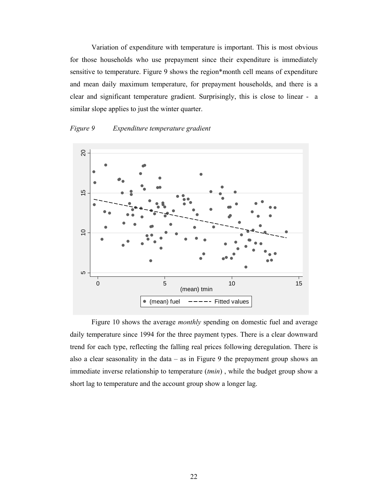Variation of expenditure with temperature is important. This is most obvious for those households who use prepayment since their expenditure is immediately sensitive to temperature. Figure 9 shows the region\*month cell means of expenditure and mean daily maximum temperature, for prepayment households, and there is a clear and significant temperature gradient. Surprisingly, this is close to linear - a similar slope applies to just the winter quarter.

#### *Figure 9 Expenditure temperature gradient*



Figure 10 shows the average *monthly* spending on domestic fuel and average daily temperature since 1994 for the three payment types. There is a clear downward trend for each type, reflecting the falling real prices following deregulation. There is also a clear seasonality in the data  $-$  as in Figure 9 the prepayment group shows an immediate inverse relationship to temperature (*tmin*) , while the budget group show a short lag to temperature and the account group show a longer lag.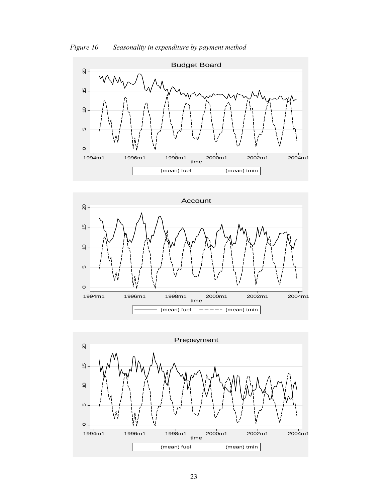





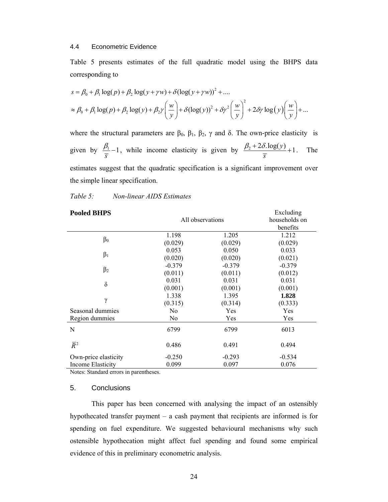#### 4.4 Econometric Evidence

Table 5 presents estimates of the full quadratic model using the BHPS data corresponding to

$$
s = \beta_0 + \beta_1 \log(p) + \beta_2 \log(y + \gamma w) + \delta(\log(y + \gamma w))^2 + \dots
$$
  
\n
$$
\approx \beta_0 + \beta_1 \log(p) + \beta_2 \log(y) + \beta_2 \gamma \left(\frac{w}{y}\right) + \delta(\log(y))^2 + \delta \gamma^2 \left(\frac{w}{y}\right)^2 + 2\delta \gamma \log(y) \left(\frac{w}{y}\right) + \dots
$$

where the structural parameters are  $\beta_0$ ,  $\beta_1$ ,  $\beta_2$ ,  $\gamma$  and δ. The own-price elasticity is given by  $\frac{p_1}{\cdot} - 1$ *s*  $\frac{\beta_1}{\beta_2} - 1$ , while income elasticity is given by  $\frac{\beta_2 + 2\delta \cdot \log(y)}{\beta_2 + 1} + 1$ *s*  $\frac{\beta_2 + 2\delta \cdot \log(y)}{\sigma} + 1$ . The estimates suggest that the quadratic specification is a significant improvement over the simple linear specification.

| <b>Pooled BHPS</b>       | All observations | Excluding<br>households on<br>benefits |          |
|--------------------------|------------------|----------------------------------------|----------|
|                          | 1.198            | 1.205                                  | 1.212    |
| $\beta_0$                | (0.029)          | (0.029)                                | (0.029)  |
|                          | 0.053            | 0.050                                  | 0.033    |
| $\beta_1$                | (0.020)          | (0.020)                                | (0.021)  |
|                          | $-0.379$         | $-0.379$                               | $-0.379$ |
| $\beta_2$                | (0.011)          | (0.011)                                | (0.012)  |
| $\delta$                 | 0.031            | 0.031                                  | 0.031    |
|                          | (0.001)          | (0.001)                                | (0.001)  |
|                          | 1.338            | 1.395                                  | 1.828    |
| $\gamma$                 | (0.315)          | (0.314)                                | (0.333)  |
| Seasonal dummies         | No               | Yes                                    | Yes      |
| Region dummies           | No               | Yes                                    | Yes      |
| N                        | 6799             | 6799                                   | 6013     |
| $\overline{R}^2$         | 0.486            | 0.491                                  | 0.494    |
| Own-price elasticity     | $-0.250$         | $-0.293$                               | $-0.534$ |
| <b>Income Elasticity</b> | 0.099            | 0.097                                  | 0.076    |

#### *Table 5: Non-linear AIDS Estimates*

Notes: Standard errors in parentheses.

#### 5. Conclusions

This paper has been concerned with analysing the impact of an ostensibly hypothecated transfer payment – a cash payment that recipients are informed is for spending on fuel expenditure. We suggested behavioural mechanisms why such ostensible hypothecation might affect fuel spending and found some empirical evidence of this in preliminary econometric analysis.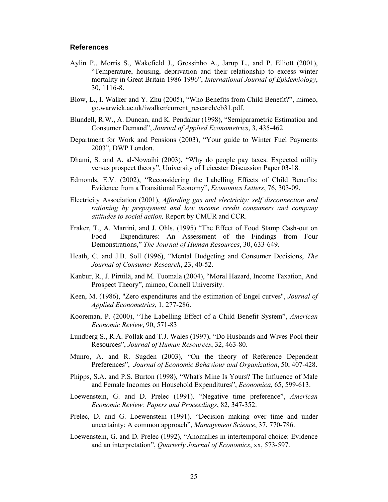#### **References**

- Aylin P., Morris S., Wakefield J., Grossinho A., Jarup L., and P. Elliott (2001), "Temperature, housing, deprivation and their relationship to excess winter mortality in Great Britain 1986-1996", *International Journal of Epidemiology*, 30, 1116-8.
- Blow, L., I. Walker and Y. Zhu (2005), "Who Benefits from Child Benefit?", mimeo, go.warwick.ac.uk/iwalker/current\_research/cb31.pdf.
- Blundell, R.W., A. Duncan, and K. Pendakur (1998), "Semiparametric Estimation and Consumer Demand", *Journal of Applied Econometrics*, 3, 435-462
- Department for Work and Pensions (2003), "Your guide to Winter Fuel Payments 2003", DWP London.
- Dhami, S. and A. al-Nowaihi (2003), "Why do people pay taxes: Expected utility versus prospect theory", University of Leicester Discussion Paper 03-18.
- Edmonds, E.V. (2002), "Reconsidering the Labelling Effects of Child Benefits: Evidence from a Transitional Economy", *Economics Letters*, 76, 303-09.
- Electricity Association (2001), *Affording gas and electricity: self disconnection and rationing by prepayment and low income credit consumers and company attitudes to social action,* Report by CMUR and CCR.
- Fraker, T., A. Martini, and J. Ohls. (1995) "The Effect of Food Stamp Cash-out on Food Expenditures: An Assessment of the Findings from Four Demonstrations," *The Journal of Human Resources*, 30, 633-649.
- Heath, C. and J.B. Soll (1996), "Mental Budgeting and Consumer Decisions, *The Journal of Consumer Research*, 23, 40-52.
- Kanbur, R., J. Pirttilä, and M. Tuomala (2004), "Moral Hazard, Income Taxation, And Prospect Theory", mimeo, Cornell University.
- Keen, M. (1986), "Zero expenditures and the estimation of Engel curves", *Journal of Applied Econometrics*, 1, 277-286.
- Kooreman, P. (2000), "The Labelling Effect of a Child Benefit System", *American Economic Review*, 90, 571-83
- Lundberg S., R.A. Pollak and T.J. Wales (1997), "Do Husbands and Wives Pool their Resources", *Journal of Human Resources*, 32, 463-80.
- Munro, A. and R. Sugden (2003), "On the theory of Reference Dependent Preferences", *Journal of Economic Behaviour and Organization*, 50, 407-428.
- Phipps, S.A. and P.S. Burton (1998), "What's Mine Is Yours? The Influence of Male and Female Incomes on Household Expenditures", *Economica*, 65, 599-613.
- Loewenstein, G. and D. Prelec (1991). "Negative time preference", *American Economic Review: Papers and Proceedings*, 82, 347-352.
- Prelec, D. and G. Loewenstein (1991). "Decision making over time and under uncertainty: A common approach", *Management Science*, 37, 770-786.
- Loewenstein, G. and D. Prelec (1992), "Anomalies in intertemporal choice: Evidence and an interpretation", *Quarterly Journal of Economics*, xx, 573-597.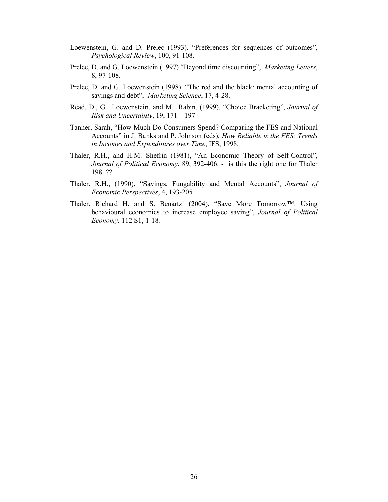- Loewenstein, G. and D. Prelec (1993). "Preferences for sequences of outcomes", *Psychological Review*, 100, 91-108.
- Prelec, D. and G. Loewenstein (1997) "Beyond time discounting", *Marketing Letters*, 8, 97-108.
- Prelec, D. and G. Loewenstein (1998). "The red and the black: mental accounting of savings and debt", *Marketing Science*, 17, 4-28.
- Read, D., G. Loewenstein, and M. Rabin, (1999), "Choice Bracketing", *Journal of Risk and Uncertainty*, 19, 171 – 197
- Tanner, Sarah, "How Much Do Consumers Spend? Comparing the FES and National Accounts" in J. Banks and P. Johnson (eds), *How Reliable is the FES: Trends in Incomes and Expenditures over Time*, IFS, 1998.
- Thaler, R.H., and H.M. Shefrin (1981), "An Economic Theory of Self-Control", *Journal of Political Economy*, 89, 392-406. - is this the right one for Thaler 1981??
- Thaler, R.H., (1990), "Savings, Fungability and Mental Accounts", *Journal of Economic Perspectives*, 4, 193-205
- Thaler, Richard H. and S. Benartzi (2004), "Save More Tomorrow™: Using behavioural economics to increase employee saving", *Journal of Political Economy,* 112 S1, 1-18*.*